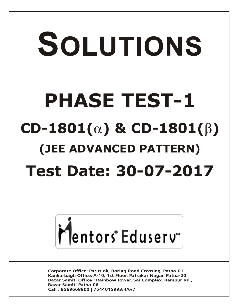# SOLUTIONS **PHASE TEST-1**  $CD-1801(\alpha)$  &  $CD-1801(\beta)$ **(JEE ADVANCED PATTERN) Test Date: 30-07-2017**



**Corporate Office: Paruslok, Boring Road Crossing, Patna-01** Kankarbagh Office: A-10, 1st Floor, Patrakar Nagar, Patna-20 Bazar Samiti Office: Rainbow Tower, Sai Complex, Rampur Rd., **Bazar Samiti Patna-06** Call: 9569668800 | 7544015993/4/6/7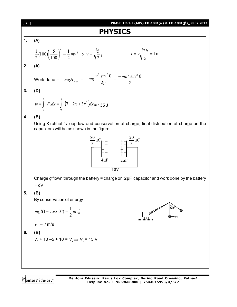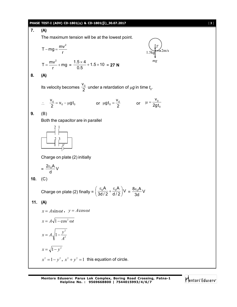#### $PHASE TEST-I (ADV) CD-1801(α) & CD-1801(β) _30.07.2017$  [3]

**7. (A)** The maximum tension will be at the lowest point.  $T - mg = \frac{mv^2}{2}$  $-mg = \frac{mv}{r}$  1.5kg  $\bigotimes m/s$ *T mg* 1.5kg  $T = \frac{mv^2}{2} + mg$  $=\frac{mv^2}{r} + mg = \frac{1.5 \times 4}{0.5} + 1.5 \times 10$ 0.5  $\frac{\times 4}{5}$  + 1.5  $\times$  10 = **27 N 8. (A)** Its velocity becomes  $\frac{V_0}{2}$  $\frac{10}{2}$  under a retardation of  $\mu$ g in time  $t_0$ .  $\therefore \quad \frac{\mathbf{v}_0}{2} = \mathbf{v}_0 - \mu \mathbf{g} \mathbf{t}_0$  $\frac{v_0}{2}$  =  $v_0$  -  $\mu$ gt  $\frac{v_0}{2} = v_0 - \mu g t_0$  or  $\mu g t_0 = \frac{v_0}{2}$  $gt_0 = \frac{v}{c}$  $\mu gt_0 = \frac{v_0}{2}$  or  $\mu = \frac{v_0}{2gt_1}$ 0 v 2gt  $\mu = -$ **9.** (B) Both the capacitor are in parallel 2 1 2 3 *V* Charge on plate (2) initially  $=\frac{2\varepsilon_0 A}{d}V$ d  $\epsilon$ **10.** (C) Charge on plate (2) finally =  $\left(\frac{\varepsilon_0 A}{3d/2} + \frac{\varepsilon_0 A}{d/2}\right)$ V  $\left(\frac{\varepsilon_0 A}{3d/2} + \frac{\varepsilon_0 A}{d/2}\right)V = \frac{8\varepsilon_0 A}{3d}V$ 3d  $\epsilon$ **11. (A)**  $x = A \sin \omega t$ ,  $y = A \cos \omega t$  $x = A\sqrt{1-\cos^2 \omega t}$ 2 2 1 *A*  $x = A_1 \sqrt{1 - \frac{y}{x}}$  $x = \sqrt{1 - y^2}$  $x^2 = 1 - y^2$ ,  $x^2 + y^2 = 1$  this equation of circle.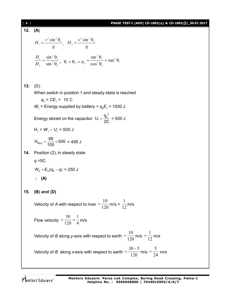| 4   | PHASE TEST-I (ADV) CD-1801( $\alpha$ ) & CD-1801( $\beta$ )_30.07.2017                                                                                |
|-----|-------------------------------------------------------------------------------------------------------------------------------------------------------|
| 12. | (A)                                                                                                                                                   |
|     | $H_1 = \frac{v^2 \sin^2 \theta_1}{\sigma}$ , $H_2 = \frac{v^2 \sin^2 \theta_2}{\sigma}$                                                               |
|     | $\frac{H_1}{H_2} = \frac{\sin^2\theta_1}{\sin^2\theta_2}, \quad \theta_1 + \theta_2 = \pi_2 = \frac{\sin^2\theta_1}{\cos^2\theta_2} = \tan^2\theta_1$ |
|     |                                                                                                                                                       |
| 13. | (D)                                                                                                                                                   |
|     | When switch in position 1 and steady state is reached                                                                                                 |
|     | $q_0 = CE_1 = 10 C$                                                                                                                                   |
|     | $W_1$ = Energy supplied by battery = $q_0E_1$ = 1000 J                                                                                                |
|     | Energy stored on the capacitor $U_1 = \frac{q_0^2}{2C} = 500$ J                                                                                       |
|     | $H_1 = W_1 - U_1 = 500$ J                                                                                                                             |
|     | $H_{99\Omega} = \frac{99}{100} \times 500 = 495 \text{ J}$                                                                                            |
| 14. | Position (2), in steady state                                                                                                                         |
|     | $q = 5C$                                                                                                                                              |
|     | $W_2 = E_2(q_0 - q) = 250$ J                                                                                                                          |
|     | $\therefore$ (A)                                                                                                                                      |
| 15. | $(B)$ and $(D)$                                                                                                                                       |
|     | Velocity of A with respect to river = $\frac{10}{120}$ m/s = $\frac{1}{12}$ m/s                                                                       |
|     | Flow velocity = $\frac{30}{120} = \frac{1}{4}$ m/s                                                                                                    |
|     | Velocity of <i>B</i> along <i>y</i> -axis with respect to earth $=$ $\frac{10}{120}$ m/s $=$ $\frac{1}{12}$ m/s                                       |
|     | Velocity of B along x-axis with respect to earth $=$ $\frac{30-5}{120}$ m/s $=$ $\frac{5}{24}$ m/s                                                    |
|     |                                                                                                                                                       |

Mentors<sup>®</sup> Eduserv<sup>®</sup>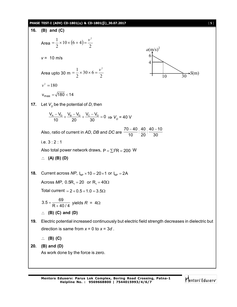#### **PHASE TEST-I (ADV) CD-1801() & CD-1801()\_30.07.2017** [ **5** ]

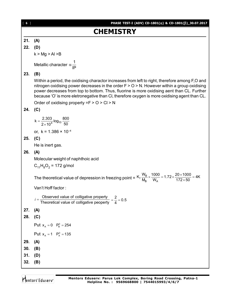## **CHEMISTRY**

#### **21. (A)**

**22. (D)**

 $k > Mg > Al > B$ 

Metallic character  $\alpha \frac{1}{|P|}$  $\alpha$ 

#### **23. (B)**

Within a period, the oxidising charactor increases from left to right, therefore among F,O and nitrogen oxidising power decreases in the order  $F > 0 > N$ . However within a group oxidising power decreases from top to bottom. Thus, fluorine is more oxidising aent than CL. Further because 'O' is more eletronegative than Cl, therefore oxygen is more oxidising agent than CL.

Order of oxidising property  $=F > 0 > C I > N$ 

#### **24. (C)**

$$
k = \frac{2.303}{2 \times 10^4} \log_{10} \frac{800}{50}
$$

or,  $k = 1.386 \times 10^{-4}$ 

#### **25. (C)**

He is inert gas.

#### **26. (A)**

Molecular weight of naphthoic acid

$$
C_{11}H_8O_2 = 172 \text{ g/mol}
$$

The theoretical value of depression in freezing point =  $K_f \frac{W_B}{W_B} \times \frac{1000}{W_A}$  $K_f \frac{W_B}{M_B} \times \frac{1000}{W_A} = 1.72 \times \frac{20 \times 1000}{172 \times 50} = 4K$  $\times \frac{1000}{W_A}$  = 1.72  $\times \frac{20 \times 1000}{172 \times 50}$  = 4

Van't Hoff factor :

```
Observed value of colligative property
i = \frac{\text{Observed value of colligative property}}{\text{Theoretical value of colligative property}} = \frac{2}{4} = 0.5
```

```
27. (A)
```
#### **28. (C)**

Put  $x_A = 0$   $P_B^0 = 254$ 

```
Put x_{A} = 1 P_{A}^{0} = 135
```
**29. (A)**

**30. (B)**

- **31. (D)**
- **32. (B)**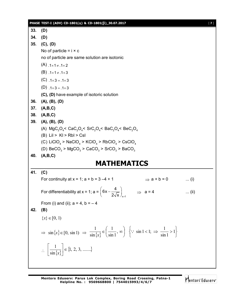#### **PHASE TEST-I (ADV) CD-1801() & CD-1801()\_30.07.2017** [ **7** ]

**33. (D) 34. (D) 35. (C), (D)** No of particle  $= i \times c$ no of particle are same solution are isotonic  $(A)$ ,  $1 \times 1 \ne 1 \times 2$  $(B)$ . 1×1  $\neq$ . 1×3  $(C)$ ,  $1 \times 3 = 0.1 \times 3$ (D)  $.1 \times 3 = .1 \times 3$ **(C), (D)** have example of isotoric solution **36. (A), (B), (D) 37. (A,B,C) 38. (A,B,C) 39. (A), (B), (D)** (A)  $\mathsf{MgC_2O_4}\textsf{<}$   $\mathsf{CaC_2O_4}\textsf{<}$   $\mathsf{SrC_2O_4}\textsf{<}$   $\mathsf{BaC_2O_4}\textsf{<}$   $\mathsf{BeC_2O_4}$  $(B)$  Lil > KI > RbI > CsI (C) LiClO $_4$  > NaClO $_4$  > KClO $_4$  > RbClO $_4$  > CsClO $_4$ (D)  $\text{BeCO}_3$  >  $\text{MgCO}_3$  >  $\text{CaCO}_3$  >  $\text{SrCO}_3$  >  $\text{BaCO}_3$ **40. (A,B,C) MATHEMATICS 41. (C)** For continuity at  $x = 1$ ;  $a + b = 3 - 4 + 1$   $\implies$   $a + b = 0$  ... (i) For differentiability at  $x = 1$ ; a =  $x = 1$  $6x - \frac{4}{3}$ 2 $\sqrt{x}$   $\int_{x=}$  $\left(6x-\frac{4}{2\sqrt{x}}\right)_{x=1} \Rightarrow a=4$  ... (ii) From (i) and (ii);  $a = 4$ ,  $b = -4$ **42. (B)**  ${x} \in [0, 1)$  $\Rightarrow$  sin $\{x\} \in [0, \sin 1)$   $\Rightarrow$   $\frac{1}{\sin \{x\}} \in \left(\frac{1}{\sin 1}, \infty\right)$ J  $\left(\frac{1}{\cdot} , \infty\right)$  $\setminus$  $\in \left( \frac{1}{\cdot} \right)$ ,  $\infty$ sin1 1 sin 1  $\overline{x}$   $\in \left(\frac{\overline{\sin 1}}{\sin 1}, \infty\right)$   $\left\{\because \sin 1 < 1; \Rightarrow \frac{\overline{\sin 1}}{\sin 1} > 1\right\}$  $\downarrow$  $\overline{\mathcal{L}}$ ╎  $\left\{\because \sin 1 < 1; \Rightarrow \frac{1}{\cdot} > 1\right\}$ sin1  $\therefore$  sin 1 < 1;  $\Rightarrow$   $\frac{1}{1}$  $\therefore \left| \frac{1}{\sin \{x\}} \right| \in \{1, 2, 3, \dots \}$ sin  $\left|\frac{1}{\sqrt{x}}\right| \in$ J  $\overline{\phantom{a}}$ L  $\overline{L}$  $\mathbf{r}$ *x*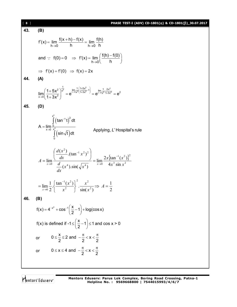| 8   | PHASE TEST-I (ADV) CD-1801( $\alpha$ ) & CD-1801( $\beta$ )_30.07.2017                                                                                                                                      |
|-----|-------------------------------------------------------------------------------------------------------------------------------------------------------------------------------------------------------------|
| 43. | (B)                                                                                                                                                                                                         |
|     | $f'(x) = \lim_{h \to 0} \frac{f(x+h) - f(x)}{h} = \lim_{h \to 0} \frac{f(h)}{h}$                                                                                                                            |
|     | and : $f(0) = 0$ $\Rightarrow$ $f'(x) = \lim_{h \to 0} \left( \frac{f(h) - f(0)}{h} \right)$                                                                                                                |
|     | $\Rightarrow$ f'(x) = f'(0) $\Rightarrow$ f(x) = 2x                                                                                                                                                         |
| 44  | (A)                                                                                                                                                                                                         |
|     | $\lim_{x\to 0} \left( \frac{1+5x^2}{1+3x^2} \right)^{\frac{1}{x^2}} = e^{\lim_{x\to 0} \frac{1}{x^2} \left( \frac{1+5x^2}{1+3x^2} - 1 \right)} = e^{\lim_{x\to 0} \frac{1}{x^2} \frac{2x^2}{1+3x^2}} = e^2$ |
| 45. | (D)                                                                                                                                                                                                         |
|     | $A = \lim_{x \to 0} \int_{x^4}^{x^2} (\tan^{-1} t)^2 dt$<br>$\int_{x^4}^{x^4} (\sin \sqrt{t}) dt$<br>Applying, L'Hospital's rule                                                                            |
|     | $A = \lim_{x \to 0} \frac{\left( \frac{u(x)}{dx} \cdot (\tan^{-1} x^2)^2 \right)}{\frac{d}{dx}(x^4) \sin(x^4)} = \lim_{x \to 0} \frac{2x \{ \tan^{-1}(x^2) \}^2}{4x^3 \sin x^2}$                            |
|     | $= \lim_{x\to 0} \frac{1}{2} \cdot \left\{ \frac{\tan^{-1}(x^2)}{x^2} \right\}^2 \cdot \frac{x^2}{\sin(x^2)} \Rightarrow A = \frac{1}{2}$                                                                   |
| 46. | (B)                                                                                                                                                                                                         |
|     | $f(x) = 4^{-x^2} + \cos^{-1}\left(\frac{x}{2} - 1\right) + \log(\cos x)$                                                                                                                                    |
|     | f(x) is defined if $-1 \le \left(\frac{x}{2} - 1\right) \le 1$ and cos $x > 0$                                                                                                                              |
|     | $0 \leq \frac{x}{2} \leq 2$ and $-\frac{\pi}{2} < x < \frac{\pi}{2}$<br>or                                                                                                                                  |
|     | $0 \le x \le 4$ and $-\frac{\pi}{2} < x < \frac{\pi}{2}$<br>or                                                                                                                                              |
|     |                                                                                                                                                                                                             |

Mentors<sup>e</sup> Eduserv-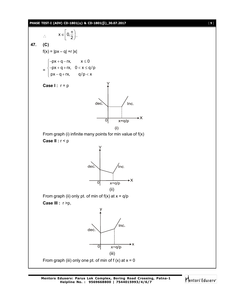#### **PHASE TEST-I** (ADV) CD-1801( $\alpha$ ) & CD-1801( $\beta$ )\_30.07.2017 [9]



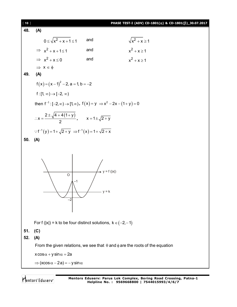[ **10** ] **PHASE TEST-I (ADV) CD-1801() & CD-1801()\_30.07.2017 48. (A)**  $0 \leq \sqrt{x^2 + x + 1} \leq 1$  and  $\sqrt{x^2}$  $\sqrt{x^2 + x} \ge 1$  $\Rightarrow$   $x^2 + x + 1 \leq 1$  and  $x^2$  $x^2 + x \ge 1$  $\Rightarrow$   $x^2 + x \le 0$  and  $x^2$  $x^2 + x \ge 1$  $\Rightarrow$   $x \in \phi$ **49. (A)**  $f(x) = (x-1)^2 - 2$ , a = 1, b = -2 f :  $[1, \infty) \rightarrow [-2, \infty)$ then  $f^{-1}: [-2, \infty) \to [1, \infty)$ ,  $f(x) = y \implies x^2 - 2x - (1 + y) = 0$  $2 \pm \sqrt{4 + 4(1 + y)}$ x 2  $\pm \sqrt{4+4(1+)}$  $\therefore x = \frac{y}{2}$ ,  $x = 1 \pm \sqrt{2 + y}$  $\therefore f^{-1}(y) = 1 + \sqrt{2 + y} \Rightarrow f^{-1}(x) = 1 + \sqrt{2 + x}$ **50. (A)** –1  $\overline{O}$ –2  $y = f(|x|)$  $v = k$ For f (|x|) = k to be four distinct solutions,  $k \in (-2, -1)$ **51. (C) 52. (A)** From the given relations, we see that  $\theta$  and  $\phi$  are the roots of the equation  $x \cos \alpha + y \sin \alpha = 2a$  $\Rightarrow$  (xcos  $\alpha - 2a$ ) = -y sin  $\alpha$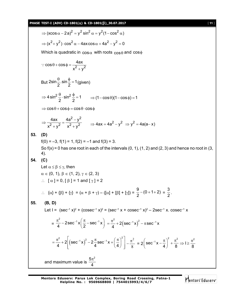|     | PHASE TEST-I (ADV) CD-1801( $\alpha$ ) & CD-1801( $\beta$ )_30.07.2017<br>$[11]$                                                                                                                                         |
|-----|--------------------------------------------------------------------------------------------------------------------------------------------------------------------------------------------------------------------------|
|     | $\Rightarrow$ (xcos $\alpha - 2a$ ) <sup>2</sup> = $v^2 \sin^2 \alpha = v^2 (1 - \cos^2 \alpha)$                                                                                                                         |
|     | $\Rightarrow$ $(x^2 + y^2) \cdot \cos^2 \alpha - 4ax \cos \alpha + 4a^2 - y^2 = 0$                                                                                                                                       |
|     | Which is quadratic in $cos\alpha$ with roots $cos\theta$ and $cos\phi$                                                                                                                                                   |
|     | $\therefore$ cos $\theta$ + cos $\phi = \frac{4ax}{x^2 + y^2}$                                                                                                                                                           |
|     | But $2\sin{\frac{\theta}{2}}$ . sin $\frac{\phi}{2}$ = 1 (given)                                                                                                                                                         |
|     | $\Rightarrow$ 4 sin <sup>2</sup> $\frac{\theta}{2}$ ·sin <sup>2</sup> $\frac{\phi}{2}$ = 1 $\Rightarrow$ (1 – cos $\theta$ )(1 – cos $\phi$ ) = 1                                                                        |
|     | $\Rightarrow$ cos $\theta$ + cos $\phi$ = cos $\theta$ · cos $\phi$                                                                                                                                                      |
|     | ⇒ $\frac{4ax}{x^2 + y^2} = \frac{4a^2 - y^2}{x^2 + y^2}$ ⇒ $4ax = 4a^2 - y^2$ ⇒ $y^2 = 4a(a-x)$                                                                                                                          |
| 53. | (D)                                                                                                                                                                                                                      |
|     | $f(0) = -3$ , $f(1) = 1$ , $f(2) = -1$ and $f(3) = 3$ .                                                                                                                                                                  |
|     | So $f(x) = 0$ has one root in each of the intervals $(0, 1)$ , $(1, 2)$ and $(2, 3)$ and hence no root in $(3, 1)$<br>4).                                                                                                |
| 54. | (C)                                                                                                                                                                                                                      |
|     | Let $\alpha \leq \beta \leq \gamma$ , then                                                                                                                                                                               |
|     | $\alpha \in (0, 1), \beta \in (1, 2), \gamma \in (2, 3)$                                                                                                                                                                 |
|     | $\therefore$ $\alpha$ = 0, $\beta$ = 1 and $\gamma$ = 2                                                                                                                                                                  |
|     | $\{\alpha\} + \{\beta\} + \{\gamma\} = (\alpha + \beta + \gamma) - ([\alpha] + [\beta] + [\gamma]) = \frac{9}{2} - (0 + 1 + 2) = \frac{3}{2}$ .                                                                          |
| 55. | (B, D)                                                                                                                                                                                                                   |
|     | Let $I = (sec^{-1} x)^2 + (cosec^{-1} x)^2 = (sec^{-1} x + cosec^{-1} x)^2 - 2sec^{-1} x$ . $cosec^{-1} x$                                                                                                               |
|     | = $\frac{\pi^2}{4}$ - 2sec <sup>-1</sup> x $\left(\frac{\pi}{2}$ - sec <sup>-1</sup> x $\right)$ = $\frac{\pi^2}{4}$ + 2 (sec <sup>-1</sup> x) <sup>2</sup> - $\pi$ sec <sup>-1</sup> x                                  |
|     | $=\frac{\pi^2}{4}+2\left \left(\sec^{-1}x\right)^2-2\frac{\pi}{4}\sec^{-1}x+\left(\frac{\pi}{4}\right)^2\right -\frac{\pi^2}{8}=2\left(\sec^{-1}x-\frac{\pi}{4}\right)^2+\frac{\pi^2}{8}\Rightarrow1\geq\frac{\pi^2}{8}$ |
|     | and maximum value is $\frac{5\pi^2}{4}$                                                                                                                                                                                  |

Mentors<sup>e</sup> Eduserv<sup>-</sup>